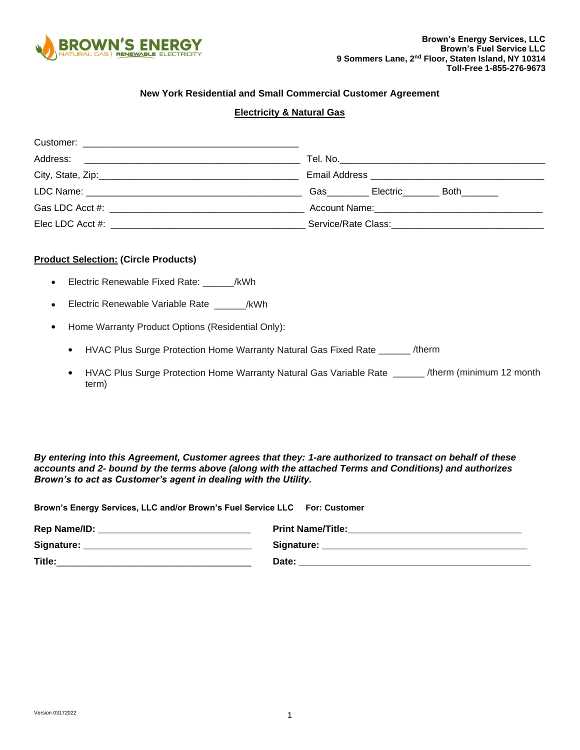

## **New York Residential and Small Commercial Customer Agreement**

### **Electricity & Natural Gas**

| Gas Electric<br><b>Both</b> |
|-----------------------------|
|                             |
|                             |

### **Product Selection: (Circle Products)**

- Electric Renewable Fixed Rate: \_\_\_\_\_\_/kWh
- Electric Renewable Variable Rate \_\_\_\_\_\_/kWh
- Home Warranty Product Options (Residential Only):
	- HVAC Plus Surge Protection Home Warranty Natural Gas Fixed Rate \_\_\_\_\_\_ /therm
	- HVAC Plus Surge Protection Home Warranty Natural Gas Variable Rate \_\_\_\_\_\_ /therm (minimum 12 month term)

*By entering into this Agreement, Customer agrees that they: 1-are authorized to transact on behalf of these accounts and 2- bound by the terms above (along with the attached Terms and Conditions) and authorizes Brown's to act as Customer's agent in dealing with the Utility.*

| Brown's Energy Services, LLC and/or Brown's Fuel Service LLC For: Customer |                          |  |
|----------------------------------------------------------------------------|--------------------------|--|
| Rep Name/ID:                                                               | <b>Print Name/Title:</b> |  |
| Signature:                                                                 | Signature:               |  |
| Title:                                                                     | Date:                    |  |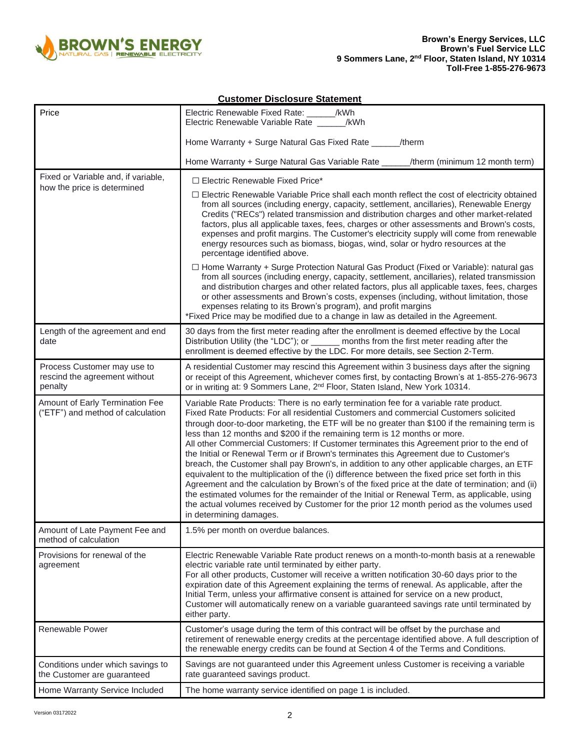

| <b>Customer Disclosure Statement</b>                                    |                                                                                                                                                                                                                                                                                                                                                                                                                                                                                                                                                                                                                                                                                                                                                                                                                                                                                                                                                                                                                                                                                     |  |
|-------------------------------------------------------------------------|-------------------------------------------------------------------------------------------------------------------------------------------------------------------------------------------------------------------------------------------------------------------------------------------------------------------------------------------------------------------------------------------------------------------------------------------------------------------------------------------------------------------------------------------------------------------------------------------------------------------------------------------------------------------------------------------------------------------------------------------------------------------------------------------------------------------------------------------------------------------------------------------------------------------------------------------------------------------------------------------------------------------------------------------------------------------------------------|--|
| Price                                                                   | Electric Renewable Fixed Rate: ______/kWh<br>Electric Renewable Variable Rate ______/kWh                                                                                                                                                                                                                                                                                                                                                                                                                                                                                                                                                                                                                                                                                                                                                                                                                                                                                                                                                                                            |  |
|                                                                         | Home Warranty + Surge Natural Gas Fixed Rate _______/therm                                                                                                                                                                                                                                                                                                                                                                                                                                                                                                                                                                                                                                                                                                                                                                                                                                                                                                                                                                                                                          |  |
|                                                                         | Home Warranty + Surge Natural Gas Variable Rate ______/therm (minimum 12 month term)                                                                                                                                                                                                                                                                                                                                                                                                                                                                                                                                                                                                                                                                                                                                                                                                                                                                                                                                                                                                |  |
| Fixed or Variable and, if variable,<br>how the price is determined      | □ Electric Renewable Fixed Price*                                                                                                                                                                                                                                                                                                                                                                                                                                                                                                                                                                                                                                                                                                                                                                                                                                                                                                                                                                                                                                                   |  |
|                                                                         | $\Box$ Electric Renewable Variable Price shall each month reflect the cost of electricity obtained<br>from all sources (including energy, capacity, settlement, ancillaries), Renewable Energy<br>Credits ("RECs") related transmission and distribution charges and other market-related<br>factors, plus all applicable taxes, fees, charges or other assessments and Brown's costs,<br>expenses and profit margins. The Customer's electricity supply will come from renewable<br>energy resources such as biomass, biogas, wind, solar or hydro resources at the<br>percentage identified above.                                                                                                                                                                                                                                                                                                                                                                                                                                                                                |  |
|                                                                         | $\Box$ Home Warranty + Surge Protection Natural Gas Product (Fixed or Variable): natural gas<br>from all sources (including energy, capacity, settlement, ancillaries), related transmission<br>and distribution charges and other related factors, plus all applicable taxes, fees, charges<br>or other assessments and Brown's costs, expenses (including, without limitation, those<br>expenses relating to its Brown's program), and profit margins<br>*Fixed Price may be modified due to a change in law as detailed in the Agreement.                                                                                                                                                                                                                                                                                                                                                                                                                                                                                                                                        |  |
| Length of the agreement and end<br>date                                 | 30 days from the first meter reading after the enrollment is deemed effective by the Local<br>Distribution Utility (the "LDC"); or _______ months from the first meter reading after the<br>enrollment is deemed effective by the LDC. For more details, see Section 2-Term.                                                                                                                                                                                                                                                                                                                                                                                                                                                                                                                                                                                                                                                                                                                                                                                                        |  |
| Process Customer may use to<br>rescind the agreement without<br>penalty | A residential Customer may rescind this Agreement within 3 business days after the signing<br>or receipt of this Agreement, whichever comes first, by contacting Brown's at 1-855-276-9673<br>or in writing at: 9 Sommers Lane, 2 <sup>nd</sup> Floor, Staten Island, New York 10314.                                                                                                                                                                                                                                                                                                                                                                                                                                                                                                                                                                                                                                                                                                                                                                                               |  |
| Amount of Early Termination Fee<br>("ETF") and method of calculation    | Variable Rate Products: There is no early termination fee for a variable rate product.<br>Fixed Rate Products: For all residential Customers and commercial Customers solicited<br>through door-to-door marketing, the ETF will be no greater than \$100 if the remaining term is<br>less than 12 months and \$200 if the remaining term is 12 months or more.<br>All other Commercial Customers: If Customer terminates this Agreement prior to the end of<br>the Initial or Renewal Term or if Brown's terminates this Agreement due to Customer's<br>breach, the Customer shall pay Brown's, in addition to any other applicable charges, an ETF<br>equivalent to the multiplication of the (i) difference between the fixed price set forth in this<br>Agreement and the calculation by Brown's of the fixed price at the date of termination; and (ii)<br>the estimated volumes for the remainder of the Initial or Renewal Term, as applicable, using<br>the actual volumes received by Customer for the prior 12 month period as the volumes used<br>in determining damages. |  |
| Amount of Late Payment Fee and<br>method of calculation                 | 1.5% per month on overdue balances.                                                                                                                                                                                                                                                                                                                                                                                                                                                                                                                                                                                                                                                                                                                                                                                                                                                                                                                                                                                                                                                 |  |
| Provisions for renewal of the<br>agreement                              | Electric Renewable Variable Rate product renews on a month-to-month basis at a renewable<br>electric variable rate until terminated by either party.<br>For all other products, Customer will receive a written notification 30-60 days prior to the<br>expiration date of this Agreement explaining the terms of renewal. As applicable, after the<br>Initial Term, unless your affirmative consent is attained for service on a new product,<br>Customer will automatically renew on a variable guaranteed savings rate until terminated by<br>either party.                                                                                                                                                                                                                                                                                                                                                                                                                                                                                                                      |  |
| Renewable Power                                                         | Customer's usage during the term of this contract will be offset by the purchase and<br>retirement of renewable energy credits at the percentage identified above. A full description of<br>the renewable energy credits can be found at Section 4 of the Terms and Conditions.                                                                                                                                                                                                                                                                                                                                                                                                                                                                                                                                                                                                                                                                                                                                                                                                     |  |
| Conditions under which savings to<br>the Customer are guaranteed        | Savings are not guaranteed under this Agreement unless Customer is receiving a variable<br>rate guaranteed savings product.                                                                                                                                                                                                                                                                                                                                                                                                                                                                                                                                                                                                                                                                                                                                                                                                                                                                                                                                                         |  |
| Home Warranty Service Included                                          | The home warranty service identified on page 1 is included.                                                                                                                                                                                                                                                                                                                                                                                                                                                                                                                                                                                                                                                                                                                                                                                                                                                                                                                                                                                                                         |  |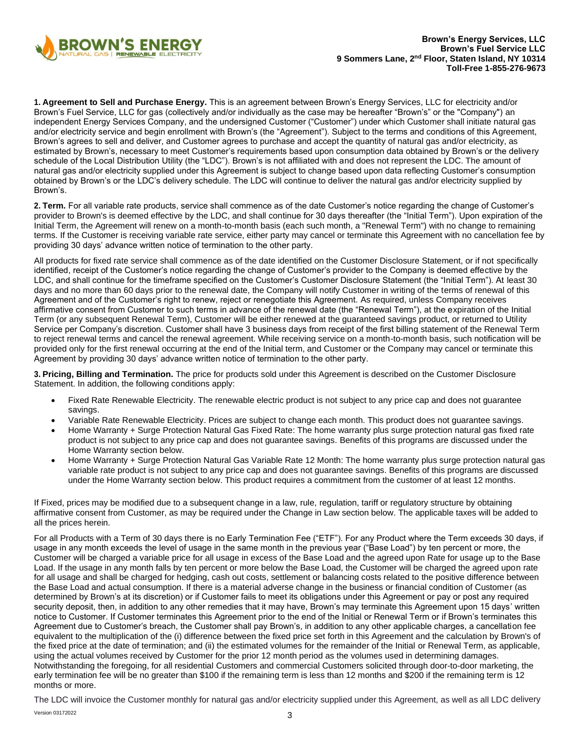

**1. Agreement to Sell and Purchase Energy.** This is an agreement between Brown's Energy Services, LLC for electricity and/or Brown's Fuel Service, LLC for gas (collectively and/or individually as the case may be hereafter "Brown's" or the "Company") an independent Energy Services Company, and the undersigned Customer ("Customer") under which Customer shall initiate natural gas and/or electricity service and begin enrollment with Brown's (the "Agreement"). Subject to the terms and conditions of this Agreement, Brown's agrees to sell and deliver, and Customer agrees to purchase and accept the quantity of natural gas and/or electricity, as estimated by Brown's, necessary to meet Customer's requirements based upon consumption data obtained by Brown's or the delivery schedule of the Local Distribution Utility (the "LDC"). Brown's is not affiliated with and does not represent the LDC. The amount of natural gas and/or electricity supplied under this Agreement is subject to change based upon data reflecting Customer's consumption obtained by Brown's or the LDC's delivery schedule. The LDC will continue to deliver the natural gas and/or electricity supplied by Brown's.

**2. Term.** For all variable rate products, service shall commence as of the date Customer's notice regarding the change of Customer's provider to Brown's is deemed effective by the LDC, and shall continue for 30 days thereafter (the "Initial Term"). Upon expiration of the Initial Term, the Agreement will renew on a month-to-month basis (each such month, a "Renewal Term") with no change to remaining terms. If the Customer is receiving variable rate service, either party may cancel or terminate this Agreement with no cancellation fee by providing 30 days' advance written notice of termination to the other party.

All products for fixed rate service shall commence as of the date identified on the Customer Disclosure Statement, or if not specifically identified, receipt of the Customer's notice regarding the change of Customer's provider to the Company is deemed effective by the LDC, and shall continue for the timeframe specified on the Customer's Customer Disclosure Statement (the "Initial Term"). At least 30 days and no more than 60 days prior to the renewal date, the Company will notify Customer in writing of the terms of renewal of this Agreement and of the Customer's right to renew, reject or renegotiate this Agreement. As required, unless Company receives affirmative consent from Customer to such terms in advance of the renewal date (the "Renewal Term"), at the expiration of the Initial Term (or any subsequent Renewal Term), Customer will be either renewed at the guaranteed savings product, or returned to Utility Service per Company's discretion. Customer shall have 3 business days from receipt of the first billing statement of the Renewal Term to reject renewal terms and cancel the renewal agreement. While receiving service on a month-to-month basis, such notification will be provided only for the first renewal occurring at the end of the Initial term, and Customer or the Company may cancel or terminate this Agreement by providing 30 days' advance written notice of termination to the other party.

**3. Pricing, Billing and Termination.** The price for products sold under this Agreement is described on the Customer Disclosure Statement. In addition, the following conditions apply:

- Fixed Rate Renewable Electricity. The renewable electric product is not subject to any price cap and does not guarantee savings.
- Variable Rate Renewable Electricity. Prices are subject to change each month. This product does not guarantee savings.
- Home Warranty + Surge Protection Natural Gas Fixed Rate: The home warranty plus surge protection natural gas fixed rate product is not subject to any price cap and does not guarantee savings. Benefits of this programs are discussed under the Home Warranty section below.
- Home Warranty + Surge Protection Natural Gas Variable Rate 12 Month: The home warranty plus surge protection natural gas variable rate product is not subject to any price cap and does not guarantee savings. Benefits of this programs are discussed under the Home Warranty section below. This product requires a commitment from the customer of at least 12 months.

If Fixed, prices may be modified due to a subsequent change in a law, rule, regulation, tariff or regulatory structure by obtaining affirmative consent from Customer, as may be required under the Change in Law section below. The applicable taxes will be added to all the prices herein.

For all Products with a Term of 30 days there is no Early Termination Fee ("ETF"). For any Product where the Term exceeds 30 days, if usage in any month exceeds the level of usage in the same month in the previous year ("Base Load") by ten percent or more, the Customer will be charged a variable price for all usage in excess of the Base Load and the agreed upon Rate for usage up to the Base Load. If the usage in any month falls by ten percent or more below the Base Load, the Customer will be charged the agreed upon rate for all usage and shall be charged for hedging, cash out costs, settlement or balancing costs related to the positive difference between the Base Load and actual consumption. If there is a material adverse change in the business or financial condition of Customer (as determined by Brown's at its discretion) or if Customer fails to meet its obligations under this Agreement or pay or post any required security deposit, then, in addition to any other remedies that it may have, Brown's may terminate this Agreement upon 15 days' written notice to Customer. If Customer terminates this Agreement prior to the end of the Initial or Renewal Term or if Brown's terminates this Agreement due to Customer's breach, the Customer shall pay Brown's, in addition to any other applicable charges, a cancellation fee equivalent to the multiplication of the (i) difference between the fixed price set forth in this Agreement and the calculation by Brown's of the fixed price at the date of termination; and (ii) the estimated volumes for the remainder of the Initial or Renewal Term, as applicable, using the actual volumes received by Customer for the prior 12 month period as the volumes used in determining damages. Notwithstanding the foregoing, for all residential Customers and commercial Customers solicited through door-to-door marketing, the early termination fee will be no greater than \$100 if the remaining term is less than 12 months and \$200 if the remaining term is 12 months or more.

The LDC will invoice the Customer monthly for natural gas and/or electricity supplied under this Agreement, as well as all LDC delivery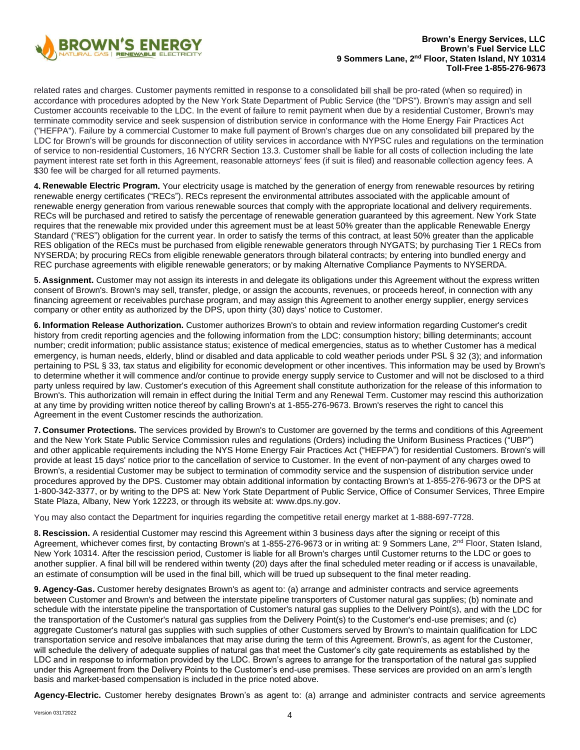

related rates and charges. Customer payments remitted in response to a consolidated bill shall be pro-rated (when so required) in accordance with procedures adopted by the New York State Department of Public Service (the "DPS"). Brown's may assign and sell Customer accounts receivable to the LDC. In the event of failure to remit payment when due by a residential Customer, Brown's may terminate commodity service and seek suspension of distribution service in conformance with the Home Energy Fair Practices Act ("HEFPA"). Failure by a commercial Customer to make full payment of Brown's charges due on any consolidated bill prepared by the LDC for Brown's will be grounds for disconnection of utility services in accordance with NYPSC rules and regulations on the termination of service to non-residential Customers, 16 NYCRR Section 13.3. Customer shall be liable for all costs of collection including the late payment interest rate set forth in this Agreement, reasonable attorneys' fees (if suit is filed) and reasonable collection agency fees. A \$30 fee will be charged for all returned payments.

**4. Renewable Electric Program.** Your electricity usage is matched by the generation of energy from renewable resources by retiring renewable energy certificates ("RECs"). RECs represent the environmental attributes associated with the applicable amount of renewable energy generation from various renewable sources that comply with the appropriate locational and delivery requirements. RECs will be purchased and retired to satisfy the percentage of renewable generation guaranteed by this agreement. New York State requires that the renewable mix provided under this agreement must be at least 50% greater than the applicable Renewable Energy Standard ("RES") obligation for the current year. In order to satisfy the terms of this contract, at least 50% greater than the applicable RES obligation of the RECs must be purchased from eligible renewable generators through NYGATS; by purchasing Tier 1 RECs from NYSERDA; by procuring RECs from eligible renewable generators through bilateral contracts; by entering into bundled energy and REC purchase agreements with eligible renewable generators; or by making Alternative Compliance Payments to NYSERDA.

**5. Assignment.** Customer may not assign its interests in and delegate its obligations under this Agreement without the express written consent of Brown's. Brown's may sell, transfer, pledge, or assign the accounts, revenues, or proceeds hereof, in connection with any financing agreement or receivables purchase program, and may assign this Agreement to another energy supplier, energy services company or other entity as authorized by the DPS, upon thirty (30) days' notice to Customer.

**6. Information Release Authorization.** Customer authorizes Brown's to obtain and review information regarding Customer's credit history from credit reporting agencies and the following information from the LDC: consumption history; billing determinants; account number; credit information; public assistance status; existence of medical emergencies, status as to whether Customer has a medical emergency, is human needs, elderly, blind or disabled and data applicable to cold weather periods under PSL § 32 (3); and information pertaining to PSL § 33, tax status and eligibility for economic development or other incentives. This information may be used by Brown's to determine whether it will commence and/or continue to provide energy supply service to Customer and will not be disclosed to a third party unless required by law. Customer's execution of this Agreement shall constitute authorization for the release of this information to Brown's. This authorization will remain in effect during the Initial Term and any Renewal Term. Customer may rescind this authorization at any time by providing written notice thereof by calling Brown's at 1-855-276-9673. Brown's reserves the right to cancel this Agreement in the event Customer rescinds the authorization.

**7. Consumer Protections.** The services provided by Brown's to Customer are governed by the terms and conditions of this Agreement and the New York State Public Service Commission rules and regulations (Orders) including the Uniform Business Practices ("UBP") and other applicable requirements including the NYS Home Energy Fair Practices Act ("HEFPA") for residential Customers. Brown's will provide at least 15 days' notice prior to the cancellation of service to Customer. In the event of non-payment of any charges owed to Brown's, a residential Customer may be subject to termination of commodity service and the suspension of distribution service under procedures approved by the DPS. Customer may obtain additional information by contacting Brown's at 1-855-276-9673 or the DPS at 1-800-342-3377, or by writing to the DPS at: New York State Department of Public Service, Office of Consumer Services, Three Empire State Plaza, Albany, New York 12223, or through its website at[: www.dps.ny.gov.](http://www.dps.ny.gov/)

You may also contact the Department for inquiries regarding the competitive retail energy market at 1-888-697-7728.

**8. Rescission.** A residential Customer may rescind this Agreement within 3 business days after the signing or receipt of this Agreement, whichever comes first, by contacting Brown's at 1-855-276-9673 or in writing at: 9 Sommers Lane, 2<sup>nd</sup> Floor, Staten Island, New York 10314. After the rescission period, Customer is liable for all Brown's charges until Customer returns to the LDC or goes to another supplier. A final bill will be rendered within twenty (20) days after the final scheduled meter reading or if access is unavailable, an estimate of consumption will be used in the final bill, which will be trued up subsequent to the final meter reading.

**9. Agency-Gas.** Customer hereby designates Brown's as agent to: (a) arrange and administer contracts and service agreements between Customer and Brown's and between the interstate pipeline transporters of Customer natural gas supplies; (b) nominate and schedule with the interstate pipeline the transportation of Customer's natural gas supplies to the Delivery Point(s), and with the LDC for the transportation of the Customer's natural gas supplies from the Delivery Point(s) to the Customer's end-use premises; and (c) aggregate Customer's natural gas supplies with such supplies of other Customers served by Brown's to maintain qualification for LDC transportation service and resolve imbalances that may arise during the term of this Agreement. Brown's, as agent for the Customer, will schedule the delivery of adequate supplies of natural gas that meet the Customer's city gate requirements as established by the LDC and in response to information provided by the LDC. Brown's agrees to arrange for the transportation of the natural gas supplied under this Agreement from the Delivery Points to the Customer's end-use premises. These services are provided on an arm's length basis and market-based compensation is included in the price noted above.

**Agency-Electric.** Customer hereby designates Brown's as agent to: (a) arrange and administer contracts and service agreements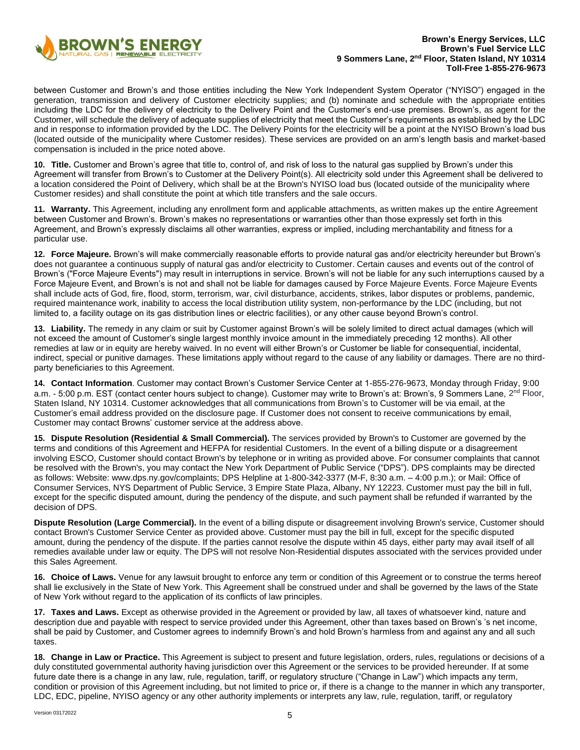

between Customer and Brown's and those entities including the New York Independent System Operator ("NYISO") engaged in the generation, transmission and delivery of Customer electricity supplies; and (b) nominate and schedule with the appropriate entities including the LDC for the delivery of electricity to the Delivery Point and the Customer's end-use premises. Brown's, as agent for the Customer, will schedule the delivery of adequate supplies of electricity that meet the Customer's requirements as established by the LDC and in response to information provided by the LDC. The Delivery Points for the electricity will be a point at the NYISO Brown's load bus (located outside of the municipality where Customer resides). These services are provided on an arm's length basis and market-based compensation is included in the price noted above.

**10. Title.** Customer and Brown's agree that title to, control of, and risk of loss to the natural gas supplied by Brown's under this Agreement will transfer from Brown's to Customer at the Delivery Point(s). All electricity sold under this Agreement shall be delivered to a location considered the Point of Delivery, which shall be at the Brown's NYISO load bus (located outside of the municipality where Customer resides) and shall constitute the point at which title transfers and the sale occurs.

**11. Warranty.** This Agreement, including any enrollment form and applicable attachments, as written makes up the entire Agreement between Customer and Brown's. Brown's makes no representations or warranties other than those expressly set forth in this Agreement, and Brown's expressly disclaims all other warranties, express or implied, including merchantability and fitness for a particular use.

**12. Force Majeure.** Brown's will make commercially reasonable efforts to provide natural gas and/or electricity hereunder but Brown's does not guarantee a continuous supply of natural gas and/or electricity to Customer. Certain causes and events out of the control of Brown's ("Force Majeure Events") may result in interruptions in service. Brown's will not be liable for any such interruptions caused by a Force Majeure Event, and Brown's is not and shall not be liable for damages caused by Force Majeure Events. Force Majeure Events shall include acts of God, fire, flood, storm, terrorism, war, civil disturbance, accidents, strikes, labor disputes or problems, pandemic, required maintenance work, inability to access the local distribution utility system, non-performance by the LDC (including, but not limited to, a facility outage on its gas distribution lines or electric facilities), or any other cause beyond Brown's control.

**13. Liability.** The remedy in any claim or suit by Customer against Brown's will be solely limited to direct actual damages (which will not exceed the amount of Customer's single largest monthly invoice amount in the immediately preceding 12 months). All other remedies at law or in equity are hereby waived. In no event will either Brown's or Customer be liable for consequential, incidental, indirect, special or punitive damages. These limitations apply without regard to the cause of any liability or damages. There are no thirdparty beneficiaries to this Agreement.

**14. Contact Information**. Customer may contact Brown's Customer Service Center at 1-855-276-9673, Monday through Friday, 9:00 a.m. - 5:00 p.m. EST (contact center hours subject to change). Customer may write to Brown's at: Brown's, 9 Sommers Lane, 2<sup>nd</sup> Floor, Staten Island, NY 10314. Customer acknowledges that all communications from Brown's to Customer will be via email, at the Customer's email address provided on the disclosure page. If Customer does not consent to receive communications by email, Customer may contact Browns' customer service at the address above.

**15. Dispute Resolution (Residential & Small Commercial).** The services provided by Brown's to Customer are governed by the terms and conditions of this Agreement and HEFPA for residential Customers. In the event of a billing dispute or a disagreement involving ESCO, Customer should contact Brown's by telephone or in writing as provided above. For consumer complaints that cannot be resolved with the Brown's, you may contact the New York Department of Public Service ("DPS"). DPS complaints may be directed as follows: Website: [www.dps.ny.gov/complaints; D](http://www.dps.ny.gov/complaints%3B)PS Helpline at 1-800-342-3377 (M-F, 8:30 a.m. – 4:00 p.m.); or Mail: Office of Consumer Services, NYS Department of Public Service, 3 Empire State Plaza, Albany, NY 12223. Customer must pay the bill in full, except for the specific disputed amount, during the pendency of the dispute, and such payment shall be refunded if warranted by the decision of DPS.

**Dispute Resolution (Large Commercial).** In the event of a billing dispute or disagreement involving Brown's service, Customer should contact Brown's Customer Service Center as provided above. Customer must pay the bill in full, except for the specific disputed amount, during the pendency of the dispute. If the parties cannot resolve the dispute within 45 days, either party may avail itself of all remedies available under law or equity. The DPS will not resolve Non-Residential disputes associated with the services provided under this Sales Agreement.

**16. Choice of Laws.** Venue for any lawsuit brought to enforce any term or condition of this Agreement or to construe the terms hereof shall lie exclusively in the State of New York. This Agreement shall be construed under and shall be governed by the laws of the State of New York without regard to the application of its conflicts of law principles.

**17. Taxes and Laws.** Except as otherwise provided in the Agreement or provided by law, all taxes of whatsoever kind, nature and description due and payable with respect to service provided under this Agreement, other than taxes based on Brown's 's net income, shall be paid by Customer, and Customer agrees to indemnify Brown's and hold Brown's harmless from and against any and all such taxes.

**18. Change in Law or Practice.** This Agreement is subject to present and future legislation, orders, rules, regulations or decisions of a duly constituted governmental authority having jurisdiction over this Agreement or the services to be provided hereunder. If at some future date there is a change in any law, rule, regulation, tariff, or regulatory structure ("Change in Law") which impacts any term, condition or provision of this Agreement including, but not limited to price or, if there is a change to the manner in which any transporter, LDC, EDC, pipeline, NYISO agency or any other authority implements or interprets any law, rule, regulation, tariff, or regulatory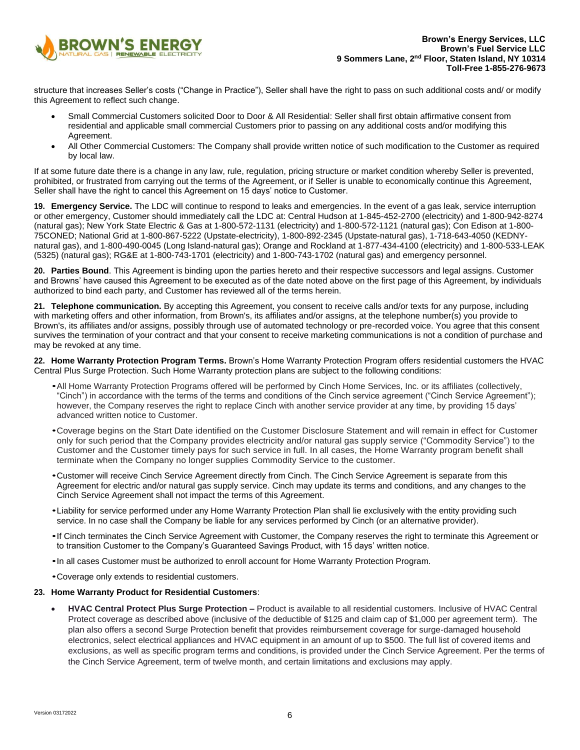

structure that increases Seller's costs ("Change in Practice"), Seller shall have the right to pass on such additional costs and/ or modify this Agreement to reflect such change.

- Small Commercial Customers solicited Door to Door & All Residential: Seller shall first obtain affirmative consent from residential and applicable small commercial Customers prior to passing on any additional costs and/or modifying this Agreement.
- All Other Commercial Customers: The Company shall provide written notice of such modification to the Customer as required by local law.

If at some future date there is a change in any law, rule, regulation, pricing structure or market condition whereby Seller is prevented, prohibited, or frustrated from carrying out the terms of the Agreement, or if Seller is unable to economically continue this Agreement, Seller shall have the right to cancel this Agreement on 15 days' notice to Customer.

**19. Emergency Service.** The LDC will continue to respond to leaks and emergencies. In the event of a gas leak, service interruption or other emergency, Customer should immediately call the LDC at: Central Hudson at 1-845-452-2700 (electricity) and 1-800-942-8274 (natural gas); New York State Electric & Gas at 1-800-572-1131 (electricity) and 1-800-572-1121 (natural gas); Con Edison at 1-800- 75CONED; National Grid at 1-800-867-5222 (Upstate-electricity), 1-800-892-2345 (Upstate-natural gas), 1-718-643-4050 (KEDNYnatural gas), and 1-800-490-0045 (Long Island-natural gas); Orange and Rockland at 1-877-434-4100 (electricity) and 1-800-533-LEAK (5325) (natural gas); RG&E at 1-800-743-1701 (electricity) and 1-800-743-1702 (natural gas) and emergency personnel.

**20. Parties Bound**. This Agreement is binding upon the parties hereto and their respective successors and legal assigns. Customer and Browns' have caused this Agreement to be executed as of the date noted above on the first page of this Agreement, by individuals authorized to bind each party, and Customer has reviewed all of the terms herein.

**21. Telephone communication.** By accepting this Agreement, you consent to receive calls and/or texts for any purpose, including with marketing offers and other information, from Brown's, its affiliates and/or assigns, at the telephone number(s) you provide to Brown's, its affiliates and/or assigns, possibly through use of automated technology or pre-recorded voice. You agree that this consent survives the termination of your contract and that your consent to receive marketing communications is not a condition of purchase and may be revoked at any time.

**22. Home Warranty Protection Program Terms.** Brown's Home Warranty Protection Program offers residential customers the HVAC Central Plus Surge Protection. Such Home Warranty protection plans are subject to the following conditions:

- •All Home Warranty Protection Programs offered will be performed by Cinch Home Services, Inc. or its affiliates (collectively, "Cinch") in accordance with the terms of the terms and conditions of the Cinch service agreement ("Cinch Service Agreement"); however, the Company reserves the right to replace Cinch with another service provider at any time, by providing 15 days' advanced written notice to Customer.
- •Coverage begins on the Start Date identified on the Customer Disclosure Statement and will remain in effect for Customer only for such period that the Company provides electricity and/or natural gas supply service ("Commodity Service") to the Customer and the Customer timely pays for such service in full. In all cases, the Home Warranty program benefit shall terminate when the Company no longer supplies Commodity Service to the customer.
- •Customer will receive Cinch Service Agreement directly from Cinch. The Cinch Service Agreement is separate from this Agreement for electric and/or natural gas supply service. Cinch may update its terms and conditions, and any changes to the Cinch Service Agreement shall not impact the terms of this Agreement.
- •Liability for service performed under any Home Warranty Protection Plan shall lie exclusively with the entity providing such service. In no case shall the Company be liable for any services performed by Cinch (or an alternative provider).
- •If Cinch terminates the Cinch Service Agreement with Customer, the Company reserves the right to terminate this Agreement or to transition Customer to the Company's Guaranteed Savings Product, with 15 days' written notice.
- •In all cases Customer must be authorized to enroll account for Home Warranty Protection Program.
- •Coverage only extends to residential customers.

#### **23. Home Warranty Product for Residential Customers**:

• **HVAC Central Protect Plus Surge Protection –** Product is available to all residential customers. Inclusive of HVAC Central Protect coverage as described above (inclusive of the deductible of \$125 and claim cap of \$1,000 per agreement term). The plan also offers a second Surge Protection benefit that provides reimbursement coverage for surge-damaged household electronics, select electrical appliances and HVAC equipment in an amount of up to \$500. The full list of covered items and exclusions, as well as specific program terms and conditions, is provided under the Cinch Service Agreement. Per the terms of the Cinch Service Agreement, term of twelve month, and certain limitations and exclusions may apply.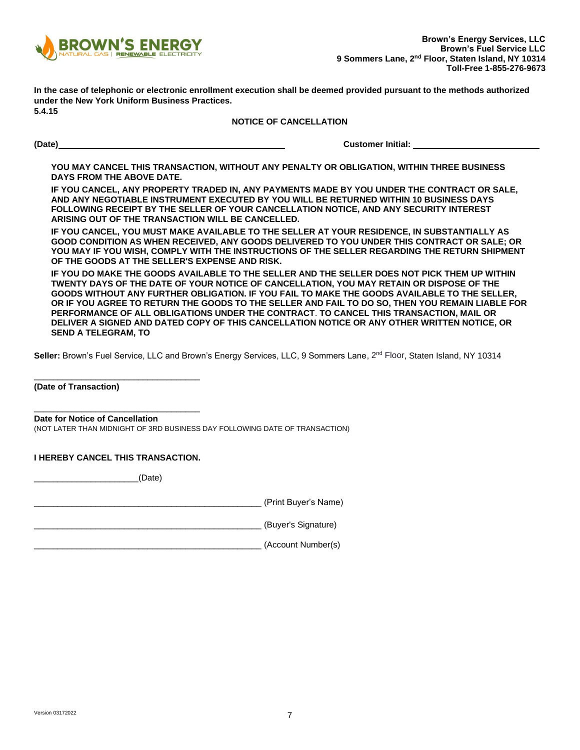

**In the case of telephonic or electronic enrollment execution shall be deemed provided pursuant to the methods authorized under the New York Uniform Business Practices. 5.4.15**

**NOTICE OF CANCELLATION**

**(Date) Customer Initial:** 

**YOU MAY CANCEL THIS TRANSACTION, WITHOUT ANY PENALTY OR OBLIGATION, WITHIN THREE BUSINESS DAYS FROM THE ABOVE DATE.**

**IF YOU CANCEL, ANY PROPERTY TRADED IN, ANY PAYMENTS MADE BY YOU UNDER THE CONTRACT OR SALE, AND ANY NEGOTIABLE INSTRUMENT EXECUTED BY YOU WILL BE RETURNED WITHIN 10 BUSINESS DAYS FOLLOWING RECEIPT BY THE SELLER OF YOUR CANCELLATION NOTICE, AND ANY SECURITY INTEREST ARISING OUT OF THE TRANSACTION WILL BE CANCELLED.**

**IF YOU CANCEL, YOU MUST MAKE AVAILABLE TO THE SELLER AT YOUR RESIDENCE, IN SUBSTANTIALLY AS GOOD CONDITION AS WHEN RECEIVED, ANY GOODS DELIVERED TO YOU UNDER THIS CONTRACT OR SALE; OR YOU MAY IF YOU WISH, COMPLY WITH THE INSTRUCTIONS OF THE SELLER REGARDING THE RETURN SHIPMENT OF THE GOODS AT THE SELLER'S EXPENSE AND RISK.**

**IF YOU DO MAKE THE GOODS AVAILABLE TO THE SELLER AND THE SELLER DOES NOT PICK THEM UP WITHIN TWENTY DAYS OF THE DATE OF YOUR NOTICE OF CANCELLATION, YOU MAY RETAIN OR DISPOSE OF THE GOODS WITHOUT ANY FURTHER OBLIGATION. IF YOU FAIL TO MAKE THE GOODS AVAILABLE TO THE SELLER, OR IF YOU AGREE TO RETURN THE GOODS TO THE SELLER AND FAIL TO DO SO, THEN YOU REMAIN LIABLE FOR PERFORMANCE OF ALL OBLIGATIONS UNDER THE CONTRACT**. **TO CANCEL THIS TRANSACTION, MAIL OR DELIVER A SIGNED AND DATED COPY OF THIS CANCELLATION NOTICE OR ANY OTHER WRITTEN NOTICE, OR SEND A TELEGRAM, TO**

**Seller:** Brown's Fuel Service, LLC and Brown's Energy Services, LLC, 9 Sommers Lane, 2<sup>nd</sup> Floor, Staten Island, NY 10314

**(Date of Transaction)**

**Date for Notice of Cancellation** (NOT LATER THAN MIDNIGHT OF 3RD BUSINESS DAY FOLLOWING DATE OF TRANSACTION)

**I HEREBY CANCEL THIS TRANSACTION.**

\_\_\_\_\_\_\_\_\_\_\_\_\_\_\_\_\_\_\_\_\_\_\_\_\_\_\_\_\_\_\_\_\_\_\_

\_\_\_\_\_\_\_\_\_\_\_\_\_\_\_\_\_\_\_\_\_\_\_\_\_\_\_\_\_\_\_\_\_\_\_

\_\_\_\_\_\_\_\_\_\_\_\_\_\_\_\_\_\_\_\_\_\_(Date)

\_\_\_\_\_\_\_\_\_\_\_\_\_\_\_\_\_\_\_\_\_\_\_\_\_\_\_\_\_\_\_\_\_\_\_\_\_\_\_\_\_\_\_\_\_\_\_\_ (Print Buyer's Name)

\_\_\_\_\_\_\_\_\_\_\_\_\_\_\_\_\_\_\_\_\_\_\_\_\_\_\_\_\_\_\_\_\_\_\_\_\_\_\_\_\_\_\_\_\_\_\_\_ (Buyer's Signature)

\_\_\_\_\_\_\_\_\_\_\_\_\_\_\_\_\_\_\_\_\_\_\_\_\_\_\_\_\_\_\_\_\_\_\_\_\_\_\_\_\_\_\_\_\_\_\_\_ (Account Number(s)